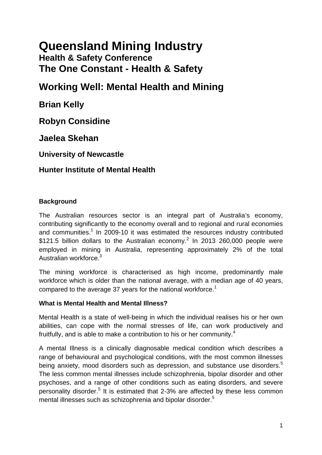# **Queensland Mining Industry**

# **Health & Safety Conference The One Constant - Health & Safety**

# **Working Well: Mental Health and Mining**

**Brian Kelly** 

**Robyn Considine** 

**Jaelea Skehan**

**University of Newcastle** 

# **Hunter Institute of Mental Health**

# **Background**

The Australian resources sector is an integral part of Australia's economy, contributing significantly to the economy overall and to regional and rural economies and communities.<sup>[1](#page-8-0)</sup> In 2009-10 it was estimated the resources industry contributed \$1[2](#page-8-0)1.5 billion dollars to the Australian economy.<sup>2</sup> In 2013 260,000 people were employed in mining in Australia, representing approximately 2% of the total Australian workforce.<sup>3</sup>

The mining workforce is characterised as high income, predominantly male workforce which is older than the national average, with a median age of 40 years, compared to the average 37 years for the national workforce.<sup>[1](#page-8-0)</sup>

# **What is Mental Health and Mental Illness?**

Mental Health is a state of well-being in which the individual realises his or her own abilities, can cope with the normal stresses of life, can work productively and fruitfully, and is able to make a contribution to his or her community.<sup>[4](#page-8-0)</sup>

A mental Illness is a clinically diagnosable medical condition which describes a range of behavioural and psychological conditions, with the most common illnesses being anxiety, mood disorders such as depression, and substance use disorders.<sup>[5](#page-8-0)</sup> The less common mental illnesses include schizophrenia, bipolar disorder and other psychoses, and a range of other conditions such as eating disorders, and severe personality disorder.<sup>[5](#page-8-0)</sup> It is estimated that 2-3% are affected by these less common mental illnesses such as schizophrenia and bipolar disorder.<sup>5</sup>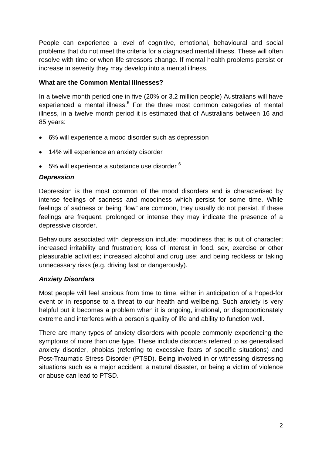People can experience a level of cognitive, emotional, behavioural and social problems that do not meet the criteria for a diagnosed mental illness. These will often resolve with time or when life stressors change. If mental health problems persist or increase in severity they may develop into a mental illness.

## **What are the Common Mental Illnesses?**

In a twelve month period one in five (20% or 3.2 million people) Australians will have experienced a mental illness.<sup>[6](#page-8-0)</sup> For the three most common categories of mental illness, in a twelve month period it is estimated that of Australians between 16 and 85 years:

- 6% will experience a mood disorder such as depression
- 14% will experience an anxiety disorder
- $\bullet$  5% will experience a substance use disorder  $6$

# *Depression*

Depression is the most common of the mood disorders and is characterised by intense feelings of sadness and moodiness which persist for some time. While feelings of sadness or being "low" are common, they usually do not persist. If these feelings are frequent, prolonged or intense they may indicate the presence of a depressive disorder.

Behaviours associated with depression include: moodiness that is out of character; increased irritability and frustration; loss of interest in food, sex, exercise or other pleasurable activities; increased alcohol and drug use; and being reckless or taking unnecessary risks (e.g. driving fast or dangerously).

# *Anxiety Disorders*

Most people will feel anxious from time to time, either in anticipation of a hoped-for event or in response to a threat to our health and wellbeing. Such anxiety is very helpful but it becomes a problem when it is ongoing, irrational, or disproportionately extreme and interferes with a person's quality of life and ability to function well.

There are many types of anxiety disorders with people commonly experiencing the symptoms of more than one type. These include disorders referred to as generalised anxiety disorder, phobias (referring to excessive fears of specific situations) and Post-Traumatic Stress Disorder (PTSD). Being involved in or witnessing distressing situations such as a major accident, a natural disaster, or being a victim of violence or abuse can lead to PTSD.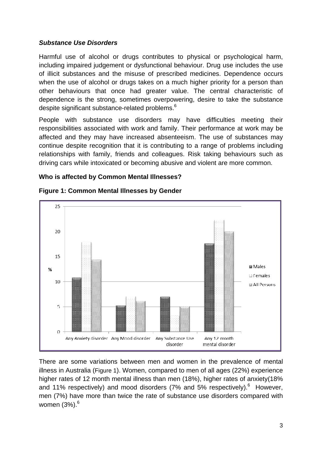#### *Substance Use Disorders*

Harmful use of alcohol or drugs contributes to physical or psychological harm, including impaired judgement or dysfunctional behaviour. Drug use includes the use of illicit substances and the misuse of prescribed medicines. Dependence occurs when the use of alcohol or drugs takes on a much higher priority for a person than other behaviours that once had greater value. The central characteristic of dependence is the strong, sometimes overpowering, desire to take the substance despite significant substance-related problems. $^6$ 

People with substance use disorders may have difficulties meeting their responsibilities associated with work and family. Their performance at work may be affected and they may have increased absenteeism. The use of substances may continue despite recognition that it is contributing to a range of problems including relationships with family, friends and colleagues. Risk taking behaviours such as driving cars while intoxicated or becoming abusive and violent are more common.

#### **Who is affected by Common Mental Illnesses?**

<span id="page-2-0"></span>

#### **Figure 1: Common Mental Illnesses by Gender**

There are some variations between men and women in the prevalence of mental illness in Australia [\(Figure 1\)](#page-2-0). Women, compared to men of all ages (22%) experience higher rates of 12 month mental illness than men (18%), higher rates of anxiety(18% and 11% respectively) and mood disorders (7% and 5% respectively). $^6$  $^6$  However, men (7%) have more than twice the rate of substance use disorders compared with women (3%).<sup>[6](#page-8-0)</sup>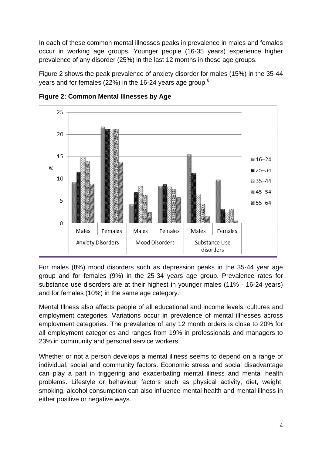In each of these common mental illnesses peaks in prevalence in males and females occur in working age groups. Younger people (16-35 years) experience higher prevalence of any disorder (25%) in the last 12 months in these age groups.

[Figure 2](#page-3-0) shows the peak prevalence of anxiety disorder for males (15%) in the 35-44 years and for females (22%) in the 1[6](#page-8-0)-24 years age group.<sup>6</sup>

<span id="page-3-0"></span>

**Figure 2: Common Mental Illnesses by Age** 

For males (8%) mood disorders such as depression peaks in the 35-44 year age group and for females (9%) in the 25-34 years age group. Prevalence rates for substance use disorders are at their highest in younger males (11% - 16-24 years) and for females (10%) in the same age category.

Mental Illness also affects people of all educational and income levels, cultures and employment categories. Variations occur in prevalence of mental illnesses across employment categories. The prevalence of any 12 month orders is close to 20% for all employment categories and ranges from 19% in professionals and managers to 23% in community and personal service workers.

Whether or not a person develops a mental illness seems to depend on a range of individual, social and community factors. Economic stress and social disadvantage can play a part in triggering and exacerbating mental illness and mental health problems. Lifestyle or behaviour factors such as physical activity, diet, weight, smoking, alcohol consumption can also influence mental health and mental illness in either positive or negative ways.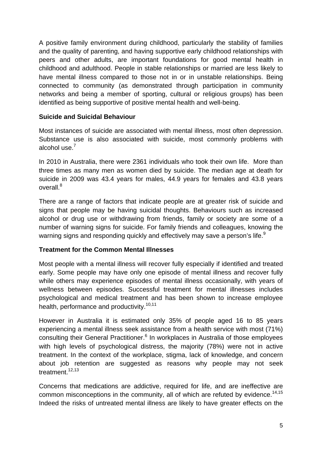A positive family environment during childhood, particularly the stability of families and the quality of parenting, and having supportive early childhood relationships with peers and other adults, are important foundations for good mental health in childhood and adulthood. People in stable relationships or married are less likely to have mental illness compared to those not in or in unstable relationships. Being connected to community (as demonstrated through participation in community networks and being a member of sporting, cultural or religious groups) has been identified as being supportive of positive mental health and well-being.

#### **Suicide and Suicidal Behaviour**

Most instances of suicide are associated with mental illness, most often depression. Substance use is also associated with suicide, most commonly problems with alcohol use.<sup>[7](#page-8-0)</sup>

In 2010 in Australia, there were 2361 individuals who took their own life. More than three times as many men as women died by suicide. The median age at death for suicide in 2009 was 43.4 years for males, 44.9 years for females and 43.8 years overall.<sup>[8](#page-8-0)</sup>

There are a range of factors that indicate people are at greater risk of suicide and signs that people may be having suicidal thoughts. Behaviours such as increased alcohol or drug use or withdrawing from friends, family or society are some of a number of warning signs for suicide. For family friends and colleagues, knowing the warning signs and responding quickly and effectively may save a person's life.<sup>[9](#page-8-0)</sup>

#### **Treatment for the Common Mental Illnesses**

Most people with a mental illness will recover fully especially if identified and treated early. Some people may have only one episode of mental illness and recover fully while others may experience episodes of mental illness occasionally, with years of wellness between episodes. Successful treatment for mental illnesses includes psychological and medical treatment and has been shown to increase employee health, performance and productivity.<sup>[10](#page-8-0),[11](#page-8-0)</sup>

However in Australia it is estimated only 35% of people aged 16 to 85 years experiencing a mental illness seek assistance from a health service with most (71%) consulting their General Practitioner.<sup>[6](#page-8-0)</sup> In workplaces in Australia of those employees with high levels of psychological distress, the majority (78%) were not in active treatment. In the context of the workplace, stigma, lack of knowledge, and concern about job retention are suggested as reasons why people may not seek treatment<sup>12,13</sup>

Concerns that medications are addictive, required for life, and are ineffective are common misconceptions in the community, all of which are refuted by evidence.<sup>[14,15](#page-8-0)</sup> Indeed the risks of untreated mental illness are likely to have greater effects on the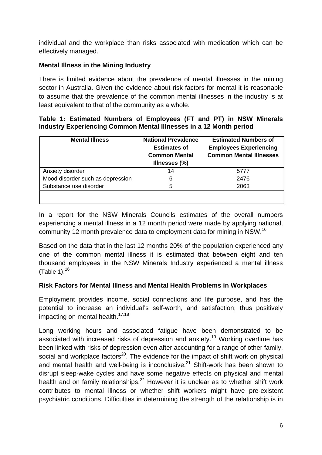individual and the workplace than risks associated with medication which can be effectively managed.

## **Mental Illness in the Mining Industry**

There is limited evidence about the prevalence of mental illnesses in the mining sector in Australia. Given the evidence about risk factors for mental it is reasonable to assume that the prevalence of the common mental illnesses in the industry is at least equivalent to that of the community as a whole.

#### <span id="page-5-0"></span>**Table 1: Estimated Numbers of Employees (FT and PT) in NSW Minerals Industry Experiencing Common Mental Illnesses in a 12 Month period**

| <b>Mental Illness</b>            | <b>National Prevalence</b><br><b>Estimates of</b><br><b>Common Mental</b><br>Illnesses (%) | <b>Estimated Numbers of</b><br><b>Employees Experiencing</b><br><b>Common Mental Illnesses</b> |
|----------------------------------|--------------------------------------------------------------------------------------------|------------------------------------------------------------------------------------------------|
| Anxiety disorder                 | 14                                                                                         | 5777                                                                                           |
| Mood disorder such as depression | 6                                                                                          | 2476                                                                                           |
| Substance use disorder           | 5                                                                                          | 2063                                                                                           |
|                                  |                                                                                            |                                                                                                |

In a report for the NSW Minerals Councils estimates of the overall numbers experiencing a mental illness in a 12 month period were made by applying national, community 12 month prevalence data to employment data for mining in NSW[.16](#page-8-0)

Based on the data that in the last 12 months 20% of the population experienced any one of the common mental illness it is estimated that between eight and ten thousand employees in the NSW Minerals Industry experienced a mental illness ([Table 1\)](#page-5-0). $16$ 

#### **Risk Factors for Mental Illness and Mental Health Problems in Workplaces**

Employment provides income, social connections and life purpose, and has the potential to increase an individual's self-worth, and satisfaction, thus positively impacting on mental health. $17,18$ 

Long working hours and associated fatigue have been demonstrated to be associated with increased risks of depression and anxiety.<sup>19</sup> Working overtime has been linked with risks of depression even after accounting for a range of other family, social and workplace factors $^{20}$  $^{20}$  $^{20}$ . The evidence for the impact of shift work on physical and mental health and well-being is inconclusive. $21$  Shift-work has been shown to disrupt sleep-wake cycles and have some negative effects on physical and mental health and on family relationships.<sup>22</sup> However it is unclear as to whether shift work contributes to mental illness or whether shift workers might have pre-existent psychiatric conditions. Difficulties in determining the strength of the relationship is in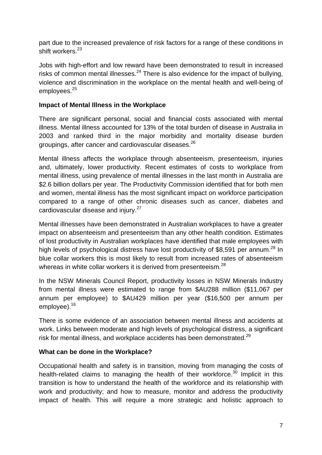part due to the increased prevalence of risk factors for a range of these conditions in shift workers.<sup>[23](#page-9-0)</sup>

Jobs with high-effort and low reward have been demonstrated to result in increased risks of common mental illnesses.<sup>[24](#page-9-0)</sup> There is also evidence for the impact of bullying, violence and discrimination in the workplace on the mental health and well-being of employees.<sup>[25](#page-9-0)</sup>

#### **Impact of Mental Illness in the Workplace**

There are significant personal, social and financial costs associated with mental illness. Mental illness accounted for 13% of the total burden of disease in Australia in 2003 and ranked third in the major morbidity and mortality disease burden groupings, after cancer and cardiovascular diseases.<sup>[26](#page-9-0)</sup>

Mental illness affects the workplace through absenteeism, presenteeism, injuries and, ultimately, lower productivity. Recent estimates of costs to workplace from mental illness, using prevalence of mental illnesses in the last month in Australia are \$2.6 billion dollars per year. The Productivity Commission identified that for both men and women, mental illness has the most significant impact on workforce participation compared to a range of other chronic diseases such as cancer, diabetes and cardiovascular disease and injury.<sup>27</sup>

Mental illnesses have been demonstrated in Australian workplaces to have a greater impact on absenteeism and presenteeism than any other health condition. Estimates of lost productivity in Australian workplaces have identified that male employees with high levels of psychological distress have lost productivity of \$8,591 per annum.<sup>[28](#page-9-0)</sup> In blue collar workers this is most likely to result from increased rates of absenteeism whereas in white collar workers it is derived from presenteeism.<sup>[28](#page-9-0)</sup>

In the NSW Minerals Council Report, productivity losses in NSW Minerals Industry from mental illness were estimated to range from \$AU288 million (\$11,067 per annum per employee) to \$AU429 million per year (\$16,500 per annum per employee).<sup>[16](#page-8-0)</sup>

There is some evidence of an association between mental illness and accidents at work. Links between moderate and high levels of psychological distress, a significant risk for mental illness, and workplace accidents has been demonstrated.<sup>[29](#page-9-0)</sup>

# **What can be done in the Workplace?**

Occupational health and safety is in transition, moving from managing the costs of health-related claims to managing the health of their workforce.<sup>[30](#page-9-0)</sup> Implicit in this transition is how to understand the health of the workforce and its relationship with work and productivity; and how to measure, monitor and address the productivity impact of health. This will require a more strategic and holistic approach to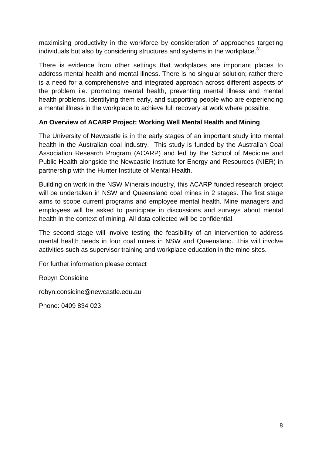maximising productivity in the workforce by consideration of approaches targeting individuals but also by considering structures and systems in the workplace. $31$ 

There is evidence from other settings that workplaces are important places to address mental health and mental illness. There is no singular solution; rather there is a need for a comprehensive and integrated approach across different aspects of the problem i.e. promoting mental health, preventing mental illness and mental health problems, identifying them early, and supporting people who are experiencing a mental illness in the workplace to achieve full recovery at work where possible.

## **An Overview of ACARP Project: Working Well Mental Health and Mining**

The University of Newcastle is in the early stages of an important study into mental health in the Australian coal industry. This study is funded by the Australian Coal Association Research Program (ACARP) and led by the School of Medicine and Public Health alongside the Newcastle Institute for Energy and Resources (NIER) in partnership with the Hunter Institute of Mental Health.

Building on work in the NSW Minerals industry, this ACARP funded research project will be undertaken in NSW and Queensland coal mines in 2 stages. The first stage aims to scope current programs and employee mental health. Mine managers and employees will be asked to participate in discussions and surveys about mental health in the context of mining. All data collected will be confidential.

The second stage will involve testing the feasibility of an intervention to address mental health needs in four coal mines in NSW and Queensland. This will involve activities such as supervisor training and workplace education in the mine sites.

For further information please contact

Robyn Considine

robyn.considine@newcastle.edu.au

Phone: 0409 834 023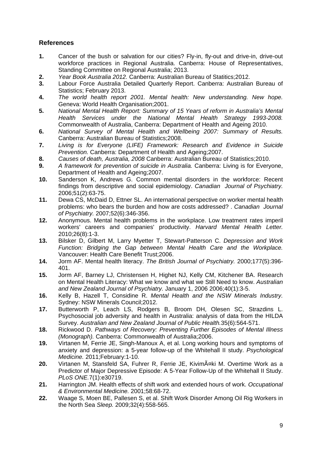#### <span id="page-8-0"></span>**References**

- **1.** Cancer of the bush or salvation for our cities? Fly-in, fly-out and drive-in, drive-out workforce practices in Regional Australia. Canberra: House of Representatives, Standing Committee on Regional Australia; 2013.
- **2.** *Year Book Australia 2012.* Canberra: Australian Bureau of Statitics;2012.
- **3.** Labour Force Australia Detailed Quarterly Report. Canberra: Australian Bureau of Statistics; February 2013.
- **4.** *The world health report 2001. Mental health: New understanding. New hope.*  Geneva: World Health Organisation;2001.
- **5.** *National Mental Health Report: Summary of 15 Years of reform in Australia's Mental Health Services under the National Mental Health Strategy 1993-2008.*  Commonwealth of Australia, Canberra: Department of Health and Ageing 2010.
- **6.** *National Survey of Mental Health and Wellbeing 2007: Summary of Results.*  Canberra: Australian Bureau of Statistics;2008.
- **7.** *Living is for Everyone (LIFE) Framework: Research and Evidence in Suicide Prevention.* Canberra: Department of Health and Ageing;2007.
- **8.** *Causes of death, Australia, 2008* Canberra: Australian Bureau of Statistics;2010.
- **9.** *A framework for prevention of suicide in Australia.* Canberra: Living is for Everyone, Department of Health and Ageing;2007.
- **10.** Sanderson K, Andrews G. Common mental disorders in the workforce: Recent findings from descriptive and social epidemiology. *Canadian Journal of Psychiatry.*  2006;51(2):63-75.
- **11.** Dewa CS, McDaid D, Ettner SL. An international perspective on worker mental health problems: who bears the burden and how are costs addressed? . *Canadian Journal of Psychiatry.* 2007;52(6):346-356.
- **12.** Anonymous. Mental health problems in the workplace. Low treatment rates imperil workers' careers and companies' productivity. *Harvard Mental Health Letter.*  2010;26(8):1-3.
- **13.** Bilsker D, Gilbert M, Larry Myetter T, Stewart-Patterson C. *Depression and Work Function: Bridging the Gap between Mental Health Care and the Workplace.*  Vancouver: Health Care Benefit Trust;2006.
- **14.** Jorm AF. Mental health literacy. *The British Journal of Psychiatry.* 2000;177(5):396- 401.
- **15.** Jorm AF, Barney LJ, Christensen H, Highet NJ, Kelly CM, Kitchener BA. Research on Mental Health Literacy: What we know and what we Still Need to know. *Australian and New Zealand Journal of Psychiatry.* January 1, 2006 2006;40(1):3-5.
- **16.** Kelly B, Hazell T, Considine R. *Mental Health and the NSW Minerals Industry.*  Sydney: NSW Minerals Council;2012.
- **17.** Butterworth P, Leach LS, Rodgers B, Broom DH, Olesen SC, Strazdins L. Psychosocial job adversity and health in Australia: analysis of data from the HILDA Survey. *Australian and New Zealand Journal of Public Health.*35(6):564-571.
- **18.** Rickwood D. *Pathways of Recovery: Preventing Further Episodes of Mental Illness (Monograph).* Canberra: Commonwealth of Australia;2006.
- **19.** Virtanen M, Ferrie JE, Singh-Manoux A, et al. Long working hours and symptoms of anxiety and depression: a 5-year follow-up of the Whitehall II study. *Psychological Medicine.* 2011;February:1-10.
- **20.** Virtanen M, Stansfeld SA, Fuhrer R, Ferrie JE, Kivim A¤ki M. Overtime Work as a Predictor of Major Depressive Episode: A 5-Year Follow-Up of the Whitehall II Study. *PLoS ONE.*7(1):e30719.
- **21.** Harrington JM. Health effects of shift work and extended hours of work. *Occupational & Environmental Medicine.* 2001;58:68-72.
- **22.** Waage S, Moen BE, Pallesen S, et al. Shift Work Disorder Among Oil Rig Workers in the North Sea *Sleep.* 2009;32(4):558-565.